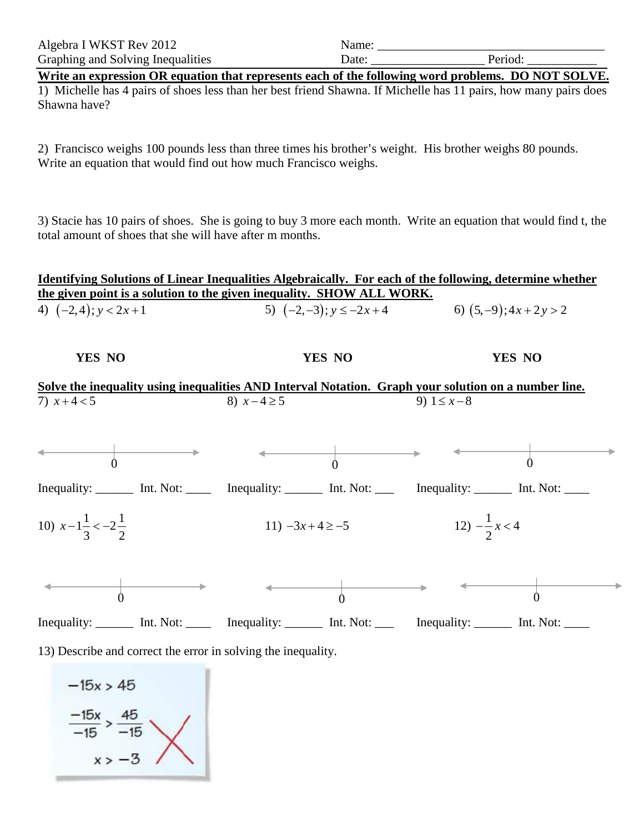| Algebra I WKST Rev 2012           | \ame: |  |
|-----------------------------------|-------|--|
| Graphing and Solving Inequalities | Jate  |  |

**Write an expression OR equation that represents each of the following word problems. DO NOT SOLVE.**

1) Michelle has 4 pairs of shoes less than her best friend Shawna. If Michelle has 11 pairs, how many pairs does Shawna have?

2) Francisco weighs 100 pounds less than three times his brother's weight. His brother weighs 80 pounds. Write an equation that would find out how much Francisco weighs.

3) Stacie has 10 pairs of shoes. She is going to buy 3 more each month. Write an equation that would find t, the total amount of shoes that she will have after m months.